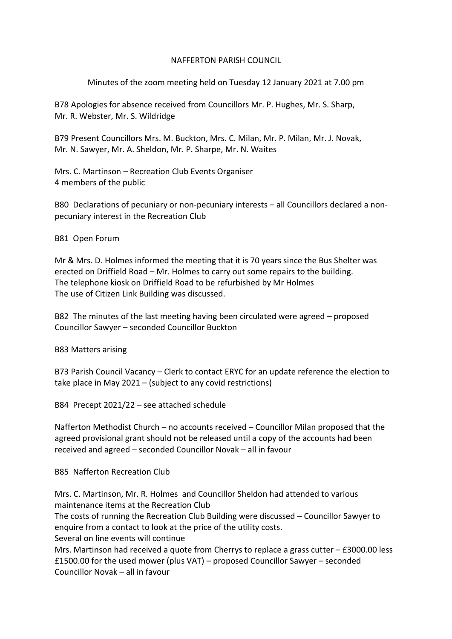### NAFFERTON PARISH COUNCIL

# Minutes of the zoom meeting held on Tuesday 12 January 2021 at 7.00 pm

B78 Apologies for absence received from Councillors Mr. P. Hughes, Mr. S. Sharp, Mr. R. Webster, Mr. S. Wildridge

B79 Present Councillors Mrs. M. Buckton, Mrs. C. Milan, Mr. P. Milan, Mr. J. Novak, Mr. N. Sawyer, Mr. A. Sheldon, Mr. P. Sharpe, Mr. N. Waites

Mrs. C. Martinson – Recreation Club Events Organiser 4 members of the public

B80 Declarations of pecuniary or non-pecuniary interests – all Councillors declared a nonpecuniary interest in the Recreation Club

## B81 Open Forum

Mr & Mrs. D. Holmes informed the meeting that it is 70 years since the Bus Shelter was erected on Driffield Road – Mr. Holmes to carry out some repairs to the building. The telephone kiosk on Driffield Road to be refurbished by Mr Holmes The use of Citizen Link Building was discussed.

B82 The minutes of the last meeting having been circulated were agreed – proposed Councillor Sawyer – seconded Councillor Buckton

B83 Matters arising

B73 Parish Council Vacancy – Clerk to contact ERYC for an update reference the election to take place in May 2021 – (subject to any covid restrictions)

B84 Precept 2021/22 – see attached schedule

Nafferton Methodist Church – no accounts received – Councillor Milan proposed that the agreed provisional grant should not be released until a copy of the accounts had been received and agreed – seconded Councillor Novak – all in favour

### B85 Nafferton Recreation Club

Mrs. C. Martinson, Mr. R. Holmes and Councillor Sheldon had attended to various maintenance items at the Recreation Club The costs of running the Recreation Club Building were discussed – Councillor Sawyer to enquire from a contact to look at the price of the utility costs. Several on line events will continue Mrs. Martinson had received a quote from Cherrys to replace a grass cutter – £3000.00 less £1500.00 for the used mower (plus VAT) – proposed Councillor Sawyer – seconded

Councillor Novak – all in favour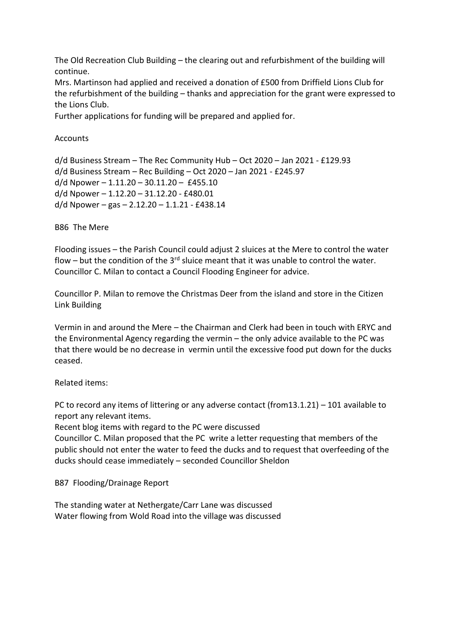The Old Recreation Club Building – the clearing out and refurbishment of the building will continue.

Mrs. Martinson had applied and received a donation of £500 from Driffield Lions Club for the refurbishment of the building – thanks and appreciation for the grant were expressed to the Lions Club.

Further applications for funding will be prepared and applied for.

**Accounts** 

```
d/d Business Stream – The Rec Community Hub – Oct 2020 – Jan 2021 - £129.93
d/d Business Stream – Rec Building – Oct 2020 – Jan 2021 - £245.97
d/d Npower – 1.11.20 – 30.11.20 – £455.10
d/d Npower – 1.12.20 – 31.12.20 - £480.01
d/d Npower – gas – 2.12.20 - 1.1.21 - £438.14
```
B86 The Mere

Flooding issues – the Parish Council could adjust 2 sluices at the Mere to control the water flow – but the condition of the  $3^{rd}$  sluice meant that it was unable to control the water. Councillor C. Milan to contact a Council Flooding Engineer for advice.

Councillor P. Milan to remove the Christmas Deer from the island and store in the Citizen Link Building

Vermin in and around the Mere – the Chairman and Clerk had been in touch with ERYC and the Environmental Agency regarding the vermin – the only advice available to the PC was that there would be no decrease in vermin until the excessive food put down for the ducks ceased.

Related items:

PC to record any items of littering or any adverse contact (from13.1.21) – 101 available to report any relevant items.

Recent blog items with regard to the PC were discussed

Councillor C. Milan proposed that the PC write a letter requesting that members of the public should not enter the water to feed the ducks and to request that overfeeding of the ducks should cease immediately – seconded Councillor Sheldon

B87 Flooding/Drainage Report

The standing water at Nethergate/Carr Lane was discussed Water flowing from Wold Road into the village was discussed